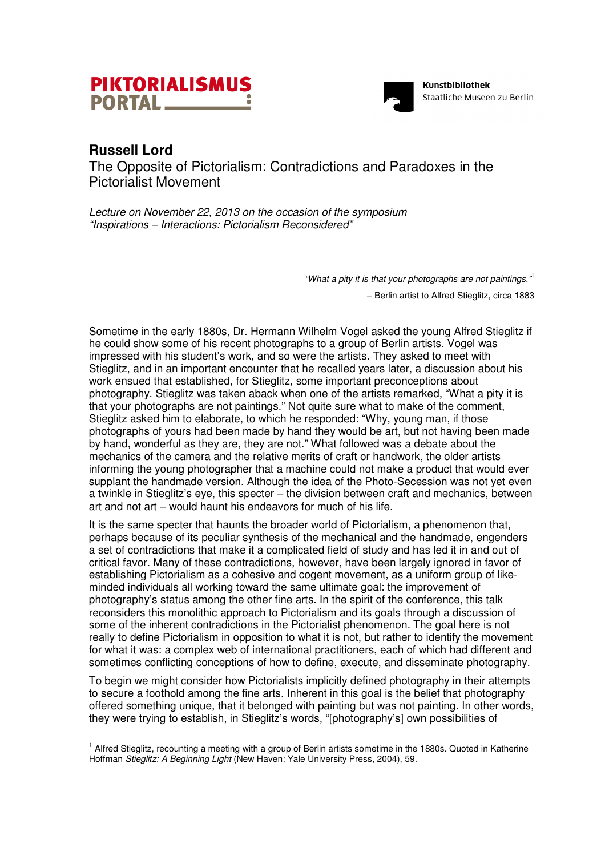



## **Russell Lord**

l

The Opposite of Pictorialism: Contradictions and Paradoxes in the Pictorialist Movement

*Lecture on November 22, 2013 on the occasion of the symposium "Inspirations – Interactions: Pictorialism Reconsidered"* 

*"What a pity it is that your photographs are not paintings."*<sup>1</sup>

– Berlin artist to Alfred Stieglitz, circa 1883

Sometime in the early 1880s, Dr. Hermann Wilhelm Vogel asked the young Alfred Stieglitz if he could show some of his recent photographs to a group of Berlin artists. Vogel was impressed with his student's work, and so were the artists. They asked to meet with Stieglitz, and in an important encounter that he recalled years later, a discussion about his work ensued that established, for Stieglitz, some important preconceptions about photography. Stieglitz was taken aback when one of the artists remarked, "What a pity it is that your photographs are not paintings." Not quite sure what to make of the comment, Stieglitz asked him to elaborate, to which he responded: "Why, young man, if those photographs of yours had been made by hand they would be art, but not having been made by hand, wonderful as they are, they are not." What followed was a debate about the mechanics of the camera and the relative merits of craft or handwork, the older artists informing the young photographer that a machine could not make a product that would ever supplant the handmade version. Although the idea of the Photo-Secession was not yet even a twinkle in Stieglitz's eye, this specter – the division between craft and mechanics, between art and not art – would haunt his endeavors for much of his life.

It is the same specter that haunts the broader world of Pictorialism, a phenomenon that, perhaps because of its peculiar synthesis of the mechanical and the handmade, engenders a set of contradictions that make it a complicated field of study and has led it in and out of critical favor. Many of these contradictions, however, have been largely ignored in favor of establishing Pictorialism as a cohesive and cogent movement, as a uniform group of likeminded individuals all working toward the same ultimate goal: the improvement of photography's status among the other fine arts. In the spirit of the conference, this talk reconsiders this monolithic approach to Pictorialism and its goals through a discussion of some of the inherent contradictions in the Pictorialist phenomenon. The goal here is not really to define Pictorialism in opposition to what it is not, but rather to identify the movement for what it was: a complex web of international practitioners, each of which had different and sometimes conflicting conceptions of how to define, execute, and disseminate photography.

To begin we might consider how Pictorialists implicitly defined photography in their attempts to secure a foothold among the fine arts. Inherent in this goal is the belief that photography offered something unique, that it belonged with painting but was not painting. In other words, they were trying to establish, in Stieglitz's words, "[photography's] own possibilities of

<sup>&</sup>lt;sup>1</sup> Alfred Stieglitz, recounting a meeting with a group of Berlin artists sometime in the 1880s. Quoted in Katherine Hoffman *Stieglitz: A Beginning Light* (New Haven: Yale University Press, 2004), 59.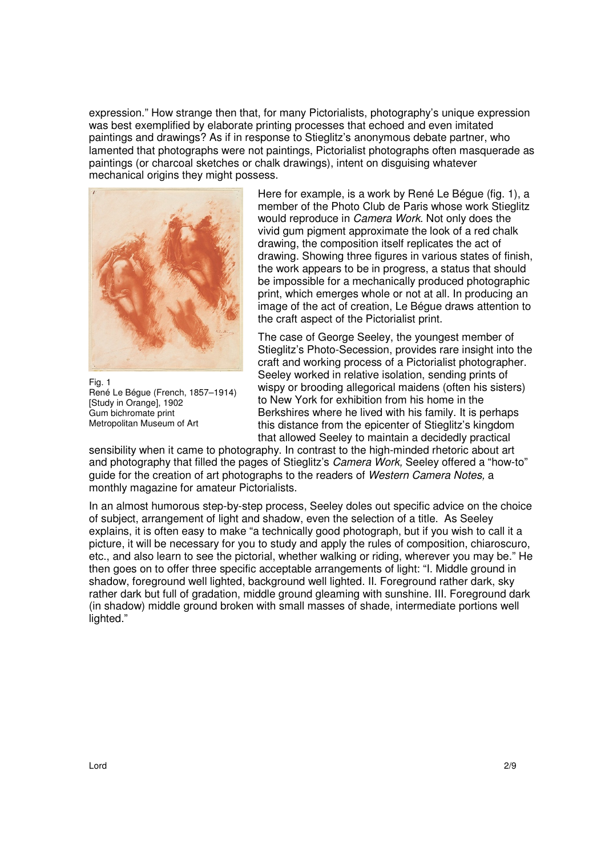expression." How strange then that, for many Pictorialists, photography's unique expression was best exemplified by elaborate printing processes that echoed and even imitated paintings and drawings? As if in response to Stieglitz's anonymous debate partner, who lamented that photographs were not paintings, Pictorialist photographs often masquerade as paintings (or charcoal sketches or chalk drawings), intent on disguising whatever mechanical origins they might possess.



Fig. 1 René Le Bégue (French, 1857–1914) [Study in Orange], 1902 Gum bichromate print Metropolitan Museum of Art

Here for example, is a work by René Le Bégue (fig. 1), a member of the Photo Club de Paris whose work Stieglitz would reproduce in *Camera Work*. Not only does the vivid gum pigment approximate the look of a red chalk drawing, the composition itself replicates the act of drawing. Showing three figures in various states of finish, the work appears to be in progress, a status that should be impossible for a mechanically produced photographic print, which emerges whole or not at all. In producing an image of the act of creation, Le Bégue draws attention to the craft aspect of the Pictorialist print.

The case of George Seeley, the youngest member of Stieglitz's Photo-Secession, provides rare insight into the craft and working process of a Pictorialist photographer. Seeley worked in relative isolation, sending prints of wispy or brooding allegorical maidens (often his sisters) to New York for exhibition from his home in the Berkshires where he lived with his family. It is perhaps this distance from the epicenter of Stieglitz's kingdom that allowed Seeley to maintain a decidedly practical

sensibility when it came to photography. In contrast to the high-minded rhetoric about art and photography that filled the pages of Stieglitz's *Camera Work,* Seeley offered a "how-to" guide for the creation of art photographs to the readers of *Western Camera Notes,* a monthly magazine for amateur Pictorialists.

In an almost humorous step-by-step process, Seeley doles out specific advice on the choice of subject, arrangement of light and shadow, even the selection of a title. As Seeley explains, it is often easy to make "a technically good photograph, but if you wish to call it a picture, it will be necessary for you to study and apply the rules of composition, chiaroscuro, etc., and also learn to see the pictorial, whether walking or riding, wherever you may be." He then goes on to offer three specific acceptable arrangements of light: "I. Middle ground in shadow, foreground well lighted, background well lighted. II. Foreground rather dark, sky rather dark but full of gradation, middle ground gleaming with sunshine. III. Foreground dark (in shadow) middle ground broken with small masses of shade, intermediate portions well lighted."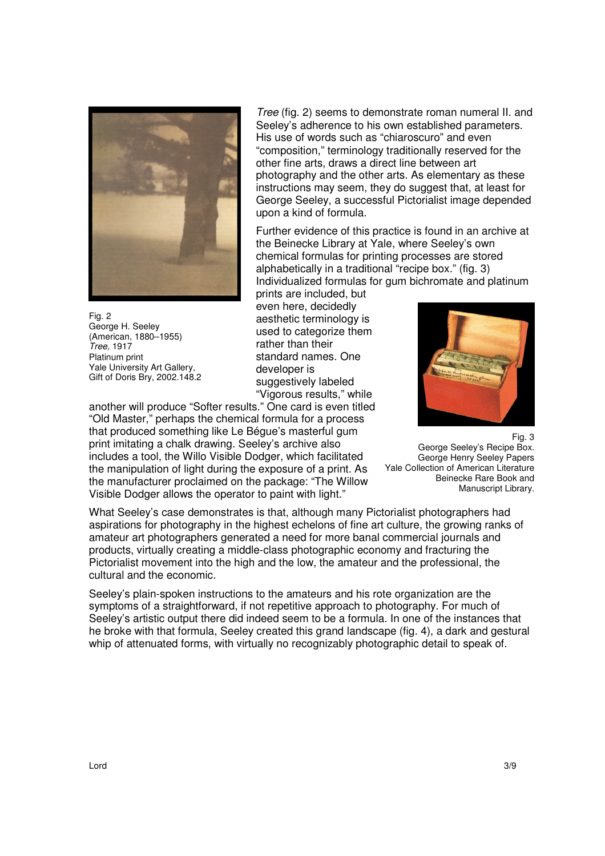

Fig. 2 George H. Seeley (American, 1880–1955) *Tree,* 1917 Platinum print Yale University Art Gallery, Gift of Doris Bry, 2002.148.2

*Tree* (fig. 2) seems to demonstrate roman numeral II. and Seeley's adherence to his own established parameters. His use of words such as "chiaroscuro" and even "composition," terminology traditionally reserved for the other fine arts, draws a direct line between art photography and the other arts. As elementary as these instructions may seem, they do suggest that, at least for George Seeley, a successful Pictorialist image depended upon a kind of formula.

Further evidence of this practice is found in an archive at the Beinecke Library at Yale, where Seeley's own chemical formulas for printing processes are stored alphabetically in a traditional "recipe box." (fig. 3) Individualized formulas for gum bichromate and platinum

prints are included, but even here, decidedly aesthetic terminology is used to categorize them rather than their standard names. One developer is suggestively labeled "Vigorous results," while



"Old Master," perhaps the chemical formula for a process that produced something like Le Bégue's masterful gum print imitating a chalk drawing. Seeley's archive also includes a tool, the Willo Visible Dodger, which facilitated the manipulation of light during the exposure of a print. As the manufacturer proclaimed on the package: "The Willow Visible Dodger allows the operator to paint with light."

another will produce "Softer results." One card is even titled

What Seeley's case demonstrates is that, although many Pictorialist photographers had aspirations for photography in the highest echelons of fine art culture, the growing ranks of amateur art photographers generated a need for more banal commercial journals and products, virtually creating a middle-class photographic economy and fracturing the Pictorialist movement into the high and the low, the amateur and the professional, the cultural and the economic.

Seeley's plain-spoken instructions to the amateurs and his rote organization are the symptoms of a straightforward, if not repetitive approach to photography. For much of Seeley's artistic output there did indeed seem to be a formula. In one of the instances that he broke with that formula, Seeley created this grand landscape (fig. 4), a dark and gestural whip of attenuated forms, with virtually no recognizably photographic detail to speak of.

George Henry Seeley Papers Yale Collection of American Literature Beinecke Rare Book and Manuscript Library.

George Seeley's Recipe Box.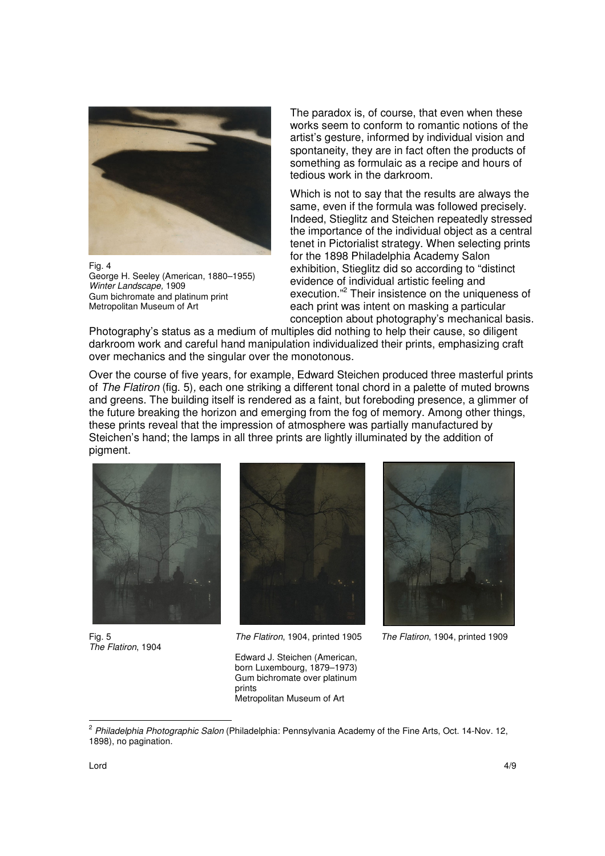

Fig. 4

George H. Seeley (American, 1880–1955) *Winter Landscape,* 1909 Gum bichromate and platinum print Metropolitan Museum of Art

The paradox is, of course, that even when these works seem to conform to romantic notions of the artist's gesture, informed by individual vision and spontaneity, they are in fact often the products of something as formulaic as a recipe and hours of tedious work in the darkroom.

Which is not to say that the results are always the same, even if the formula was followed precisely. Indeed, Stieglitz and Steichen repeatedly stressed the importance of the individual object as a central tenet in Pictorialist strategy. When selecting prints for the 1898 Philadelphia Academy Salon exhibition, Stieglitz did so according to "distinct evidence of individual artistic feeling and execution."<sup>2</sup> Their insistence on the uniqueness of each print was intent on masking a particular conception about photography's mechanical basis.

Photography's status as a medium of multiples did nothing to help their cause, so diligent darkroom work and careful hand manipulation individualized their prints, emphasizing craft over mechanics and the singular over the monotonous.

Over the course of five years, for example, Edward Steichen produced three masterful prints of *The Flatiron* (fig. 5)*,* each one striking a different tonal chord in a palette of muted browns and greens. The building itself is rendered as a faint, but foreboding presence, a glimmer of the future breaking the horizon and emerging from the fog of memory. Among other things, these prints reveal that the impression of atmosphere was partially manufactured by Steichen's hand; the lamps in all three prints are lightly illuminated by the addition of pigment.



Fig. 5 *The Flatiron*, 1904



*The Flatiron*, 1904, printed 1905



*The Flatiron*, 1904, printed 1909

Edward J. Steichen (American, born Luxembourg, 1879–1973) Gum bichromate over platinum prints Metropolitan Museum of Art

l

<sup>2</sup> *Philadelphia Photographic Salon* (Philadelphia: Pennsylvania Academy of the Fine Arts, Oct. 14-Nov. 12, 1898), no pagination.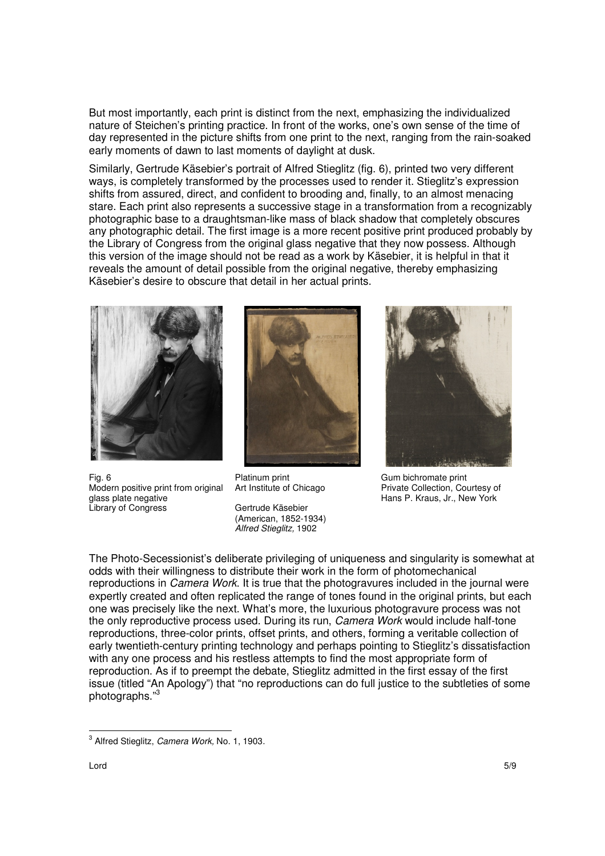But most importantly, each print is distinct from the next, emphasizing the individualized nature of Steichen's printing practice. In front of the works, one's own sense of the time of day represented in the picture shifts from one print to the next, ranging from the rain-soaked early moments of dawn to last moments of daylight at dusk.

Similarly, Gertrude Käsebier's portrait of Alfred Stieglitz (fig. 6), printed two very different ways, is completely transformed by the processes used to render it. Stieglitz's expression shifts from assured, direct, and confident to brooding and, finally, to an almost menacing stare. Each print also represents a successive stage in a transformation from a recognizably photographic base to a draughtsman-like mass of black shadow that completely obscures any photographic detail. The first image is a more recent positive print produced probably by the Library of Congress from the original glass negative that they now possess. Although this version of the image should not be read as a work by Käsebier, it is helpful in that it reveals the amount of detail possible from the original negative, thereby emphasizing Käsebier's desire to obscure that detail in her actual prints.



Fig. 6 Modern positive print from original glass plate negative Library of Congress



Platinum print Art Institute of Chicago

Gertrude Käsebier (American, 1852-1934) *Alfred Stieglitz,* 1902



Gum bichromate print Private Collection, Courtesy of Hans P. Kraus, Jr., New York

The Photo-Secessionist's deliberate privileging of uniqueness and singularity is somewhat at odds with their willingness to distribute their work in the form of photomechanical reproductions in *Camera Work*. It is true that the photogravures included in the journal were expertly created and often replicated the range of tones found in the original prints, but each one was precisely like the next. What's more, the luxurious photogravure process was not the only reproductive process used. During its run, *Camera Work* would include half-tone reproductions, three-color prints, offset prints, and others, forming a veritable collection of early twentieth-century printing technology and perhaps pointing to Stieglitz's dissatisfaction with any one process and his restless attempts to find the most appropriate form of reproduction. As if to preempt the debate, Stieglitz admitted in the first essay of the first issue (titled "An Apology") that "no reproductions can do full justice to the subtleties of some photographs."<sup>3</sup>

l

<sup>3</sup> Alfred Stieglitz, *Camera Work,* No. 1, 1903.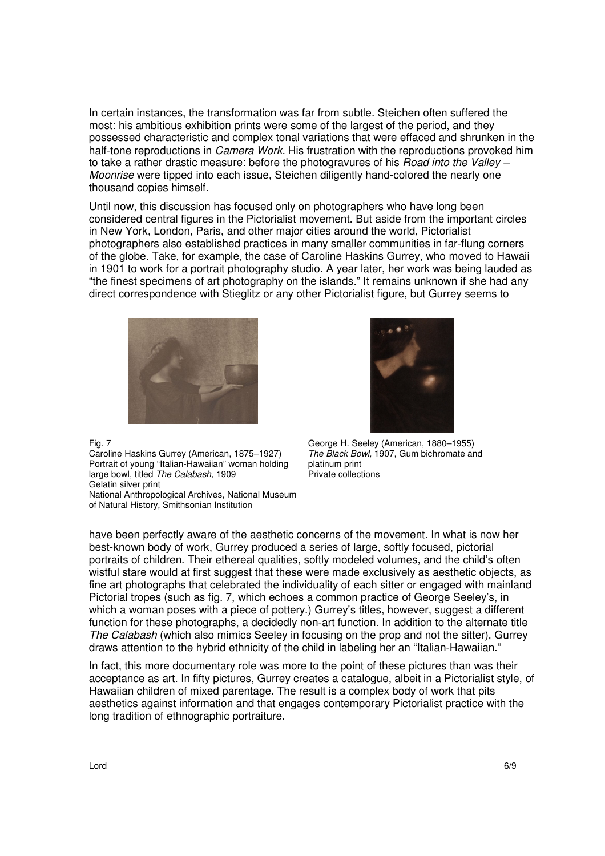In certain instances, the transformation was far from subtle. Steichen often suffered the most: his ambitious exhibition prints were some of the largest of the period, and they possessed characteristic and complex tonal variations that were effaced and shrunken in the half-tone reproductions in *Camera Work.* His frustration with the reproductions provoked him to take a rather drastic measure: before the photogravures of his *Road into the Valley – Moonrise* were tipped into each issue, Steichen diligently hand-colored the nearly one thousand copies himself.

Until now, this discussion has focused only on photographers who have long been considered central figures in the Pictorialist movement. But aside from the important circles in New York, London, Paris, and other major cities around the world, Pictorialist photographers also established practices in many smaller communities in far-flung corners of the globe. Take, for example, the case of Caroline Haskins Gurrey, who moved to Hawaii in 1901 to work for a portrait photography studio. A year later, her work was being lauded as "the finest specimens of art photography on the islands." It remains unknown if she had any direct correspondence with Stieglitz or any other Pictorialist figure, but Gurrey seems to





Caroline Haskins Gurrey (American, 1875–1927) George H. Seeley (American, 1880–1955) *The Black Bowl,* 1907, Gum bichromate and platinum print .<br>Private collections

Portrait of young "Italian-Hawaiian" woman holding large bowl, titled *The Calabash,* 1909 Gelatin silver print

National Anthropological Archives, National Museum of Natural History, Smithsonian Institution

have been perfectly aware of the aesthetic concerns of the movement. In what is now her best-known body of work, Gurrey produced a series of large, softly focused, pictorial portraits of children. Their ethereal qualities, softly modeled volumes, and the child's often wistful stare would at first suggest that these were made exclusively as aesthetic objects, as fine art photographs that celebrated the individuality of each sitter or engaged with mainland Pictorial tropes (such as fig. 7, which echoes a common practice of George Seeley's, in which a woman poses with a piece of pottery.) Gurrey's titles, however, suggest a different function for these photographs, a decidedly non-art function. In addition to the alternate title *The Calabash* (which also mimics Seeley in focusing on the prop and not the sitter), Gurrey draws attention to the hybrid ethnicity of the child in labeling her an "Italian-Hawaiian."

In fact, this more documentary role was more to the point of these pictures than was their acceptance as art. In fifty pictures, Gurrey creates a catalogue, albeit in a Pictorialist style, of Hawaiian children of mixed parentage. The result is a complex body of work that pits aesthetics against information and that engages contemporary Pictorialist practice with the long tradition of ethnographic portraiture.

Fig. 7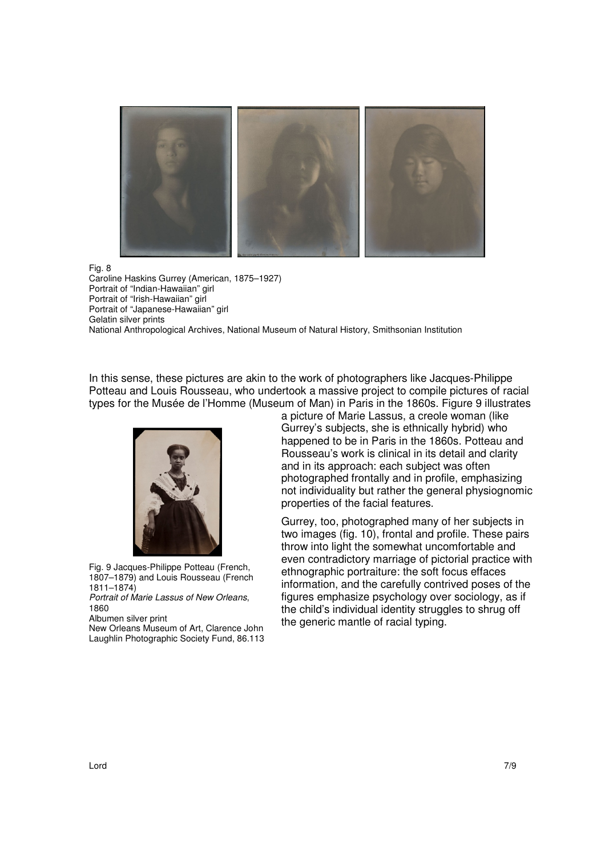

Fig. 8

Caroline Haskins Gurrey (American, 1875–1927) Portrait of "Indian-Hawaiian" girl Portrait of "Irish-Hawaiian" girl Portrait of "Japanese-Hawaiian" girl Gelatin silver prints National Anthropological Archives, National Museum of Natural History, Smithsonian Institution

In this sense, these pictures are akin to the work of photographers like Jacques-Philippe Potteau and Louis Rousseau, who undertook a massive project to compile pictures of racial types for the Musée de l'Homme (Museum of Man) in Paris in the 1860s. Figure 9 illustrates



Fig. 9 Jacques-Philippe Potteau (French, 1807–1879) and Louis Rousseau (French 1811–1874)

*Portrait of Marie Lassus of New Orleans*, 1860

Albumen silver print

New Orleans Museum of Art, Clarence John Laughlin Photographic Society Fund, 86.113 a picture of Marie Lassus, a creole woman (like Gurrey's subjects, she is ethnically hybrid) who happened to be in Paris in the 1860s. Potteau and Rousseau's work is clinical in its detail and clarity and in its approach: each subject was often photographed frontally and in profile, emphasizing not individuality but rather the general physiognomic properties of the facial features.

Gurrey, too, photographed many of her subjects in two images (fig. 10), frontal and profile. These pairs throw into light the somewhat uncomfortable and even contradictory marriage of pictorial practice with ethnographic portraiture: the soft focus effaces information, and the carefully contrived poses of the figures emphasize psychology over sociology, as if the child's individual identity struggles to shrug off the generic mantle of racial typing.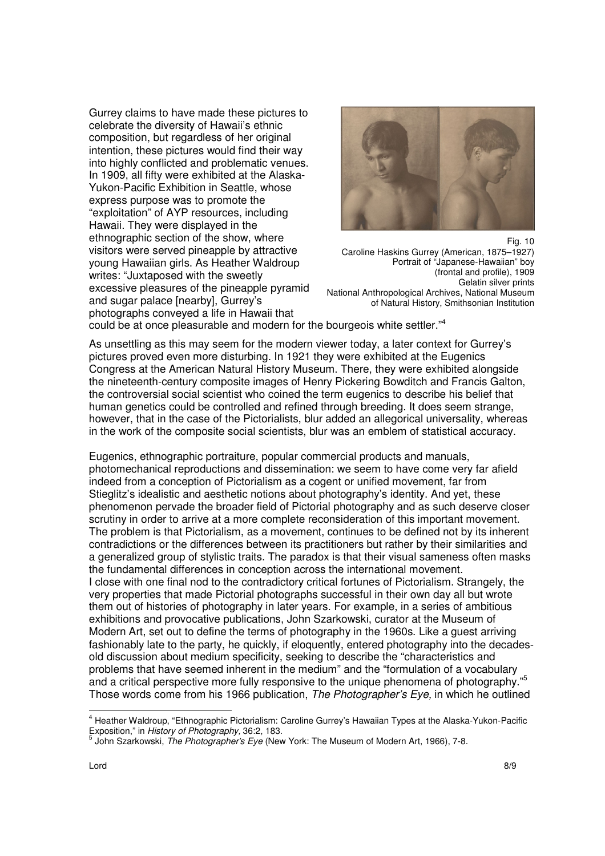Gurrey claims to have made these pictures to celebrate the diversity of Hawaii's ethnic composition, but regardless of her original intention, these pictures would find their way into highly conflicted and problematic venues. In 1909, all fifty were exhibited at the Alaska-Yukon-Pacific Exhibition in Seattle, whose express purpose was to promote the "exploitation" of AYP resources, including Hawaii. They were displayed in the ethnographic section of the show, where visitors were served pineapple by attractive young Hawaiian girls. As Heather Waldroup writes: "Juxtaposed with the sweetly excessive pleasures of the pineapple pyramid and sugar palace [nearby], Gurrey's photographs conveyed a life in Hawaii that



Fig. 10 Caroline Haskins Gurrey (American, 1875–1927) Portrait of "Japanese-Hawaiian" boy (frontal and profile), 1909 Gelatin silver prints National Anthropological Archives, National Museum of Natural History, Smithsonian Institution

could be at once pleasurable and modern for the bourgeois white settler."<sup>4</sup>

As unsettling as this may seem for the modern viewer today, a later context for Gurrey's pictures proved even more disturbing. In 1921 they were exhibited at the Eugenics Congress at the American Natural History Museum. There, they were exhibited alongside the nineteenth-century composite images of Henry Pickering Bowditch and Francis Galton, the controversial social scientist who coined the term eugenics to describe his belief that human genetics could be controlled and refined through breeding. It does seem strange, however, that in the case of the Pictorialists, blur added an allegorical universality, whereas in the work of the composite social scientists, blur was an emblem of statistical accuracy.

Eugenics, ethnographic portraiture, popular commercial products and manuals, photomechanical reproductions and dissemination: we seem to have come very far afield indeed from a conception of Pictorialism as a cogent or unified movement, far from Stieglitz's idealistic and aesthetic notions about photography's identity. And yet, these phenomenon pervade the broader field of Pictorial photography and as such deserve closer scrutiny in order to arrive at a more complete reconsideration of this important movement. The problem is that Pictorialism, as a movement, continues to be defined not by its inherent contradictions or the differences between its practitioners but rather by their similarities and a generalized group of stylistic traits. The paradox is that their visual sameness often masks the fundamental differences in conception across the international movement. I close with one final nod to the contradictory critical fortunes of Pictorialism. Strangely, the very properties that made Pictorial photographs successful in their own day all but wrote them out of histories of photography in later years. For example, in a series of ambitious exhibitions and provocative publications, John Szarkowski, curator at the Museum of Modern Art, set out to define the terms of photography in the 1960s. Like a guest arriving fashionably late to the party, he quickly, if eloquently, entered photography into the decadesold discussion about medium specificity, seeking to describe the "characteristics and problems that have seemed inherent in the medium" and the "formulation of a vocabulary and a critical perspective more fully responsive to the unique phenomena of photography."<sup>5</sup> Those words come from his 1966 publication, *The Photographer's Eye,* in which he outlined

l

<sup>&</sup>lt;sup>4</sup> Heather Waldroup, "Ethnographic Pictorialism: Caroline Gurrey's Hawaiian Types at the Alaska-Yukon-Pacific

Exposition," in *History of Photography,* 36:2, 183. 5 John Szarkowski, *The Photographer's Eye* (New York: The Museum of Modern Art, 1966), 7-8.